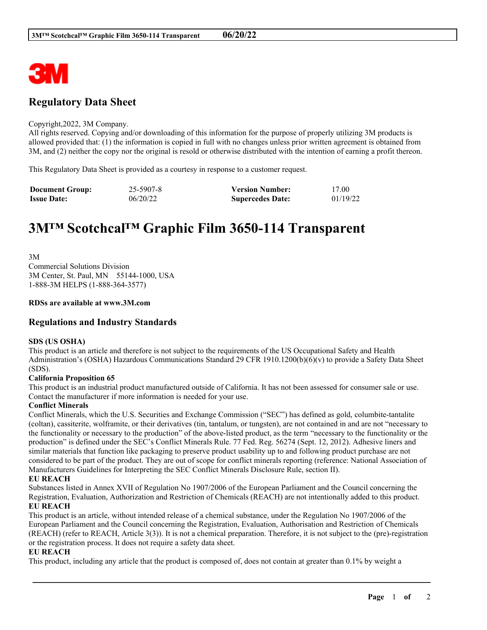

# **Regulatory Data Sheet**

### Copyright,2022, 3M Company.

All rights reserved. Copying and/or downloading of this information for the purpose of properly utilizing 3M products is allowed provided that: (1) the information is copied in full with no changes unless prior written agreement is obtained from 3M, and (2) neither the copy nor the original is resold or otherwise distributed with the intention of earning a profit thereon.

This Regulatory Data Sheet is provided as a courtesy in response to a customer request.

| <b>Document Group:</b> | 25-5907-8 | <b>Version Number:</b>  | 17.00    |
|------------------------|-----------|-------------------------|----------|
| <b>Issue Date:</b>     | 06/20/22  | <b>Supercedes Date:</b> | 01/19/22 |

# **3M™ Scotchcal™ Graphic Film 3650-114 Transparent**

3M Commercial Solutions Division 3M Center, St. Paul, MN 55144-1000, USA 1-888-3M HELPS (1-888-364-3577)

### **RDSs are available at www.3M.com**

# **Regulations and Industry Standards**

### **SDS (US OSHA)**

This product is an article and therefore is not subject to the requirements of the US Occupational Safety and Health Administration's (OSHA) Hazardous Communications Standard 29 CFR 1910.1200(b)(6)(v) to provide a Safety Data Sheet (SDS).

### **California Proposition 65**

This product is an industrial product manufactured outside of California. It has not been assessed for consumer sale or use. Contact the manufacturer if more information is needed for your use.

### **Conflict Minerals**

Conflict Minerals, which the U.S. Securities and Exchange Commission ("SEC") has defined as gold, columbite-tantalite (coltan), cassiterite, wolframite, or their derivatives (tin, tantalum, or tungsten), are not contained in and are not "necessary to the functionality or necessary to the production" of the above-listed product, as the term "necessary to the functionality or the production" is defined under the SEC's Conflict Minerals Rule. 77 Fed. Reg. 56274 (Sept. 12, 2012). Adhesive liners and similar materials that function like packaging to preserve product usability up to and following product purchase are not considered to be part of the product. They are out of scope for conflict minerals reporting (reference: National Association of Manufacturers Guidelines for Interpreting the SEC Conflict Minerals Disclosure Rule, section II).

# **EU REACH**

Substances listed in Annex XVII of Regulation No 1907/2006 of the European Parliament and the Council concerning the Registration, Evaluation, Authorization and Restriction of Chemicals (REACH) are not intentionally added to this product. **EU REACH**

This product is an article, without intended release of a chemical substance, under the Regulation No 1907/2006 of the European Parliament and the Council concerning the Registration, Evaluation, Authorisation and Restriction of Chemicals (REACH) (refer to REACH, Article 3(3)). It is not a chemical preparation. Therefore, it is not subject to the (pre)-registration or the registration process. It does not require a safety data sheet.

\_\_\_\_\_\_\_\_\_\_\_\_\_\_\_\_\_\_\_\_\_\_\_\_\_\_\_\_\_\_\_\_\_\_\_\_\_\_\_\_\_\_\_\_\_\_\_\_\_\_\_\_\_\_\_\_\_\_\_\_\_\_\_\_\_\_\_\_\_\_\_\_\_\_\_\_\_\_\_\_\_\_\_\_\_\_\_\_\_\_

### **EU REACH**

This product, including any article that the product is composed of, does not contain at greater than 0.1% by weight a